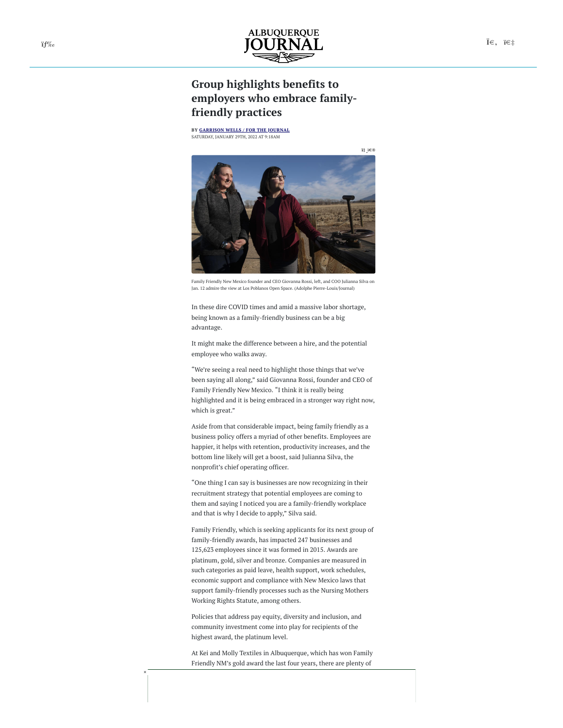## **Group highlights benefits to employers who embrace familyfriendly practices**

**BY [GARRISON](https://www.abqjournal.com/?s=Garrison+Wells+%2F+For+the+Journal) WELLS / FOR THE JOURNAL** SATURDAY, JANUARY 29TH, 2022 AT 9:18AM



Family Friendly New Mexico founder and CEO Giovanna Rossi, left, and COO Julianna Silva on Jan. 12 admire the view at Los Poblanos Open Space. (Adolphe Pierre-Louis/Journal)

In these dire COVID times and amid a massive labor shortage, being known as a family-friendly business can be a big advantage.

It might make the difference between a hire, and the potential employee who walks away.

"We're seeing a real need to highlight those things that we've been saying all along," said Giovanna Rossi, founder and CEO of Family Friendly New Mexico. "I think it is really being highlighted and it is being embraced in a stronger way right now, which is great."

Aside from that considerable impact, being family friendly as a business policy offers a myriad of other benefits. Employees are happier, it helps with retention, productivity increases, and the bottom line likely will get a boost, said Julianna Silva, the nonprofit's chief operating officer.

"One thing I can say is businesses are now recognizing in their recruitment strategy that potential employees are coming to them and saying I noticed you are a family-friendly workplace and that is why I decide to apply," Silva said.

Family Friendly, which is seeking applicants for its next group of family-friendly awards, has impacted 247 businesses and 125,623 employees since it was formed in 2015. Awards are platinum, gold, silver and bronze. Companies are measured in such categories as paid leave, health support, work schedules, economic support and compliance with New Mexico laws that support family-friendly processes such as the Nursing Mothers Working Rights Statute, among others.

Policies that address pay equity, diversity and inclusion, and community investment come into play for recipients of the highest award, the platinum level.

At Kei and Molly Textiles in Albuquerque, which has won Family Friendly NM's gold award the last four years, there are plenty of

×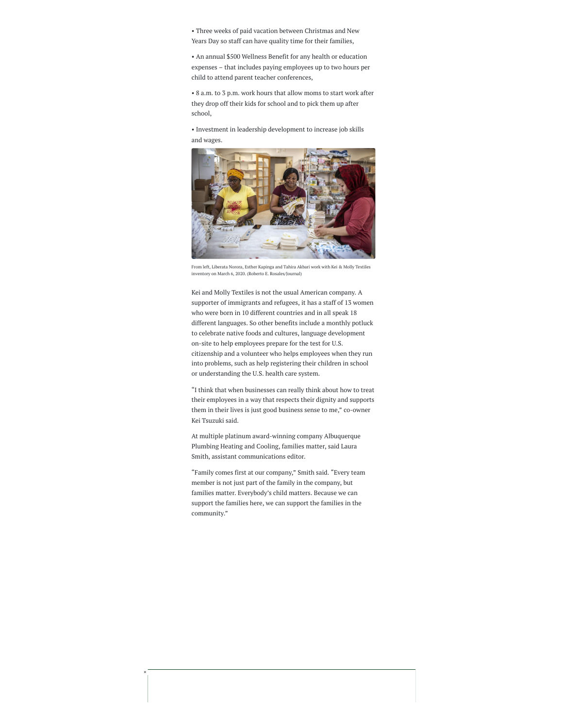• Three weeks of paid vacation between Christmas and New Years Day so staff can have quality time for their families,

• An annual \$500 Wellness Benefit for any health or education expenses – that includes paying employees up to two hours per child to attend parent teacher conferences,

• 8 a.m. to 3 p.m. work hours that allow moms to start work after they drop off their kids for school and to pick them up after school,

• Investment in leadership development to increase job skills and wages.



From left, Liberata Norora, Esther Kapinga and Tahira Akbari work with Kei & Molly Textiles inventory on March 6, 2020. (Roberto E. Rosales/Journal)

Kei and Molly Textiles is not the usual American company. A supporter of immigrants and refugees, it has a staff of 13 women who were born in 10 different countries and in all speak 18 different languages. So other benefits include a monthly potluck to celebrate native foods and cultures, language development on-site to help employees prepare for the test for U.S. citizenship and a volunteer who helps employees when they run into problems, such as help registering their children in school or understanding the U.S. health care system.

"I think that when businesses can really think about how to treat their employees in a way that respects their dignity and supports them in their lives is just good business sense to me," co-owner Kei Tsuzuki said.

At multiple platinum award-winning company Albuquerque Plumbing Heating and Cooling, families matter, said Laura Smith, assistant communications editor.

"Family comes first at our company," Smith said. "Every team member is not just part of the family in the company, but families matter. Everybody's child matters. Because we can support the families here, we can support the families in the community."

×